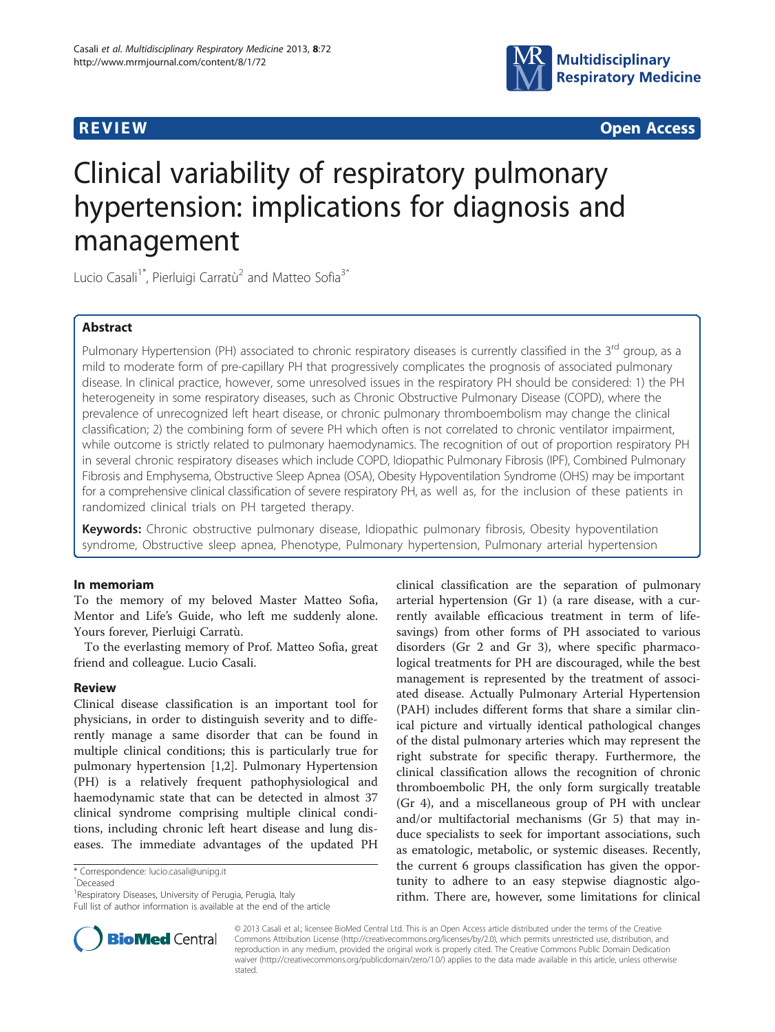

**REVIEW CONSTRUCTION CONSTRUCTION CONSTRUCTS** 

# Clinical variability of respiratory pulmonary hypertension: implications for diagnosis and management

Lucio Casali<sup>1\*</sup>, Pierluigi Carratù<sup>2</sup> and Matteo Sofia<sup>3<sup>^</sup></sup>

# Abstract

Pulmonary Hypertension (PH) associated to chronic respiratory diseases is currently classified in the 3<sup>rd</sup> group, as a mild to moderate form of pre-capillary PH that progressively complicates the prognosis of associated pulmonary disease. In clinical practice, however, some unresolved issues in the respiratory PH should be considered: 1) the PH heterogeneity in some respiratory diseases, such as Chronic Obstructive Pulmonary Disease (COPD), where the prevalence of unrecognized left heart disease, or chronic pulmonary thromboembolism may change the clinical classification; 2) the combining form of severe PH which often is not correlated to chronic ventilator impairment, while outcome is strictly related to pulmonary haemodynamics. The recognition of out of proportion respiratory PH in several chronic respiratory diseases which include COPD, Idiopathic Pulmonary Fibrosis (IPF), Combined Pulmonary Fibrosis and Emphysema, Obstructive Sleep Apnea (OSA), Obesity Hypoventilation Syndrome (OHS) may be important for a comprehensive clinical classification of severe respiratory PH, as well as, for the inclusion of these patients in randomized clinical trials on PH targeted therapy.

**Keywords:** Chronic obstructive pulmonary disease, Idiopathic pulmonary fibrosis, Obesity hypoventilation syndrome, Obstructive sleep apnea, Phenotype, Pulmonary hypertension, Pulmonary arterial hypertension

# In memoriam

To the memory of my beloved Master Matteo Sofia, Mentor and Life's Guide, who left me suddenly alone. Yours forever, Pierluigi Carratù.

To the everlasting memory of Prof. Matteo Sofia, great friend and colleague. Lucio Casali.

# Review

Clinical disease classification is an important tool for physicians, in order to distinguish severity and to differently manage a same disorder that can be found in multiple clinical conditions; this is particularly true for pulmonary hypertension [\[1,2](#page-4-0)]. Pulmonary Hypertension (PH) is a relatively frequent pathophysiological and haemodynamic state that can be detected in almost 37 clinical syndrome comprising multiple clinical conditions, including chronic left heart disease and lung diseases. The immediate advantages of the updated PH

Full list of author information is available at the end of the article





© 2013 Casali et al.; licensee BioMed Central Ltd. This is an Open Access article distributed under the terms of the Creative Commons Attribution License [\(http://creativecommons.org/licenses/by/2.0\)](http://creativecommons.org/licenses/by/2.0), which permits unrestricted use, distribution, and reproduction in any medium, provided the original work is properly cited. The Creative Commons Public Domain Dedication waiver [\(http://creativecommons.org/publicdomain/zero/1.0/\)](http://creativecommons.org/publicdomain/zero/1.0/) applies to the data made available in this article, unless otherwise stated.

<sup>\*</sup> Correspondence: [lucio.casali@unipg.it](mailto:lucio.casali@unipg.it)

ˆDeceased

<sup>&</sup>lt;sup>1</sup> Respiratory Diseases, University of Perugia, Perugia, Italy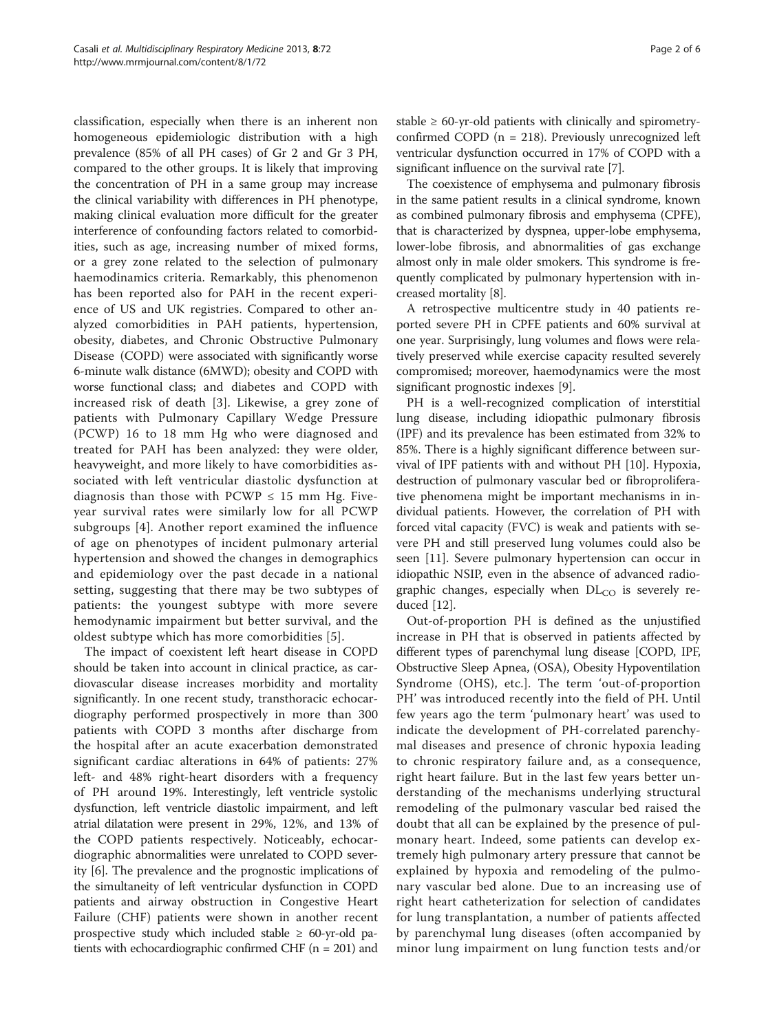classification, especially when there is an inherent non homogeneous epidemiologic distribution with a high prevalence (85% of all PH cases) of Gr 2 and Gr 3 PH, compared to the other groups. It is likely that improving the concentration of PH in a same group may increase the clinical variability with differences in PH phenotype, making clinical evaluation more difficult for the greater interference of confounding factors related to comorbidities, such as age, increasing number of mixed forms, or a grey zone related to the selection of pulmonary haemodinamics criteria. Remarkably, this phenomenon has been reported also for PAH in the recent experience of US and UK registries. Compared to other analyzed comorbidities in PAH patients, hypertension, obesity, diabetes, and Chronic Obstructive Pulmonary Disease (COPD) were associated with significantly worse 6-minute walk distance (6MWD); obesity and COPD with worse functional class; and diabetes and COPD with increased risk of death [[3\]](#page-4-0). Likewise, a grey zone of patients with Pulmonary Capillary Wedge Pressure (PCWP) 16 to 18 mm Hg who were diagnosed and treated for PAH has been analyzed: they were older, heavyweight, and more likely to have comorbidities associated with left ventricular diastolic dysfunction at diagnosis than those with  $PCWP \leq 15$  mm Hg. Fiveyear survival rates were similarly low for all PCWP subgroups [\[4](#page-4-0)]. Another report examined the influence of age on phenotypes of incident pulmonary arterial hypertension and showed the changes in demographics and epidemiology over the past decade in a national setting, suggesting that there may be two subtypes of patients: the youngest subtype with more severe hemodynamic impairment but better survival, and the oldest subtype which has more comorbidities [[5](#page-4-0)].

The impact of coexistent left heart disease in COPD should be taken into account in clinical practice, as cardiovascular disease increases morbidity and mortality significantly. In one recent study, transthoracic echocardiography performed prospectively in more than 300 patients with COPD 3 months after discharge from the hospital after an acute exacerbation demonstrated significant cardiac alterations in 64% of patients: 27% left- and 48% right-heart disorders with a frequency of PH around 19%. Interestingly, left ventricle systolic dysfunction, left ventricle diastolic impairment, and left atrial dilatation were present in 29%, 12%, and 13% of the COPD patients respectively. Noticeably, echocardiographic abnormalities were unrelated to COPD severity [\[6\]](#page-4-0). The prevalence and the prognostic implications of the simultaneity of left ventricular dysfunction in COPD patients and airway obstruction in Congestive Heart Failure (CHF) patients were shown in another recent prospective study which included stable  $\geq 60$ -yr-old patients with echocardiographic confirmed CHF ( $n = 201$ ) and

stable  $\geq 60$ -yr-old patients with clinically and spirometryconfirmed COPD ( $n = 218$ ). Previously unrecognized left ventricular dysfunction occurred in 17% of COPD with a significant influence on the survival rate [\[7](#page-4-0)].

The coexistence of emphysema and pulmonary fibrosis in the same patient results in a clinical syndrome, known as combined pulmonary fibrosis and emphysema (CPFE), that is characterized by dyspnea, upper-lobe emphysema, lower-lobe fibrosis, and abnormalities of gas exchange almost only in male older smokers. This syndrome is frequently complicated by pulmonary hypertension with increased mortality [\[8](#page-4-0)].

A retrospective multicentre study in 40 patients reported severe PH in CPFE patients and 60% survival at one year. Surprisingly, lung volumes and flows were relatively preserved while exercise capacity resulted severely compromised; moreover, haemodynamics were the most significant prognostic indexes [\[9](#page-4-0)].

PH is a well-recognized complication of interstitial lung disease, including idiopathic pulmonary fibrosis (IPF) and its prevalence has been estimated from 32% to 85%. There is a highly significant difference between survival of IPF patients with and without PH [[10\]](#page-4-0). Hypoxia, destruction of pulmonary vascular bed or fibroproliferative phenomena might be important mechanisms in individual patients. However, the correlation of PH with forced vital capacity (FVC) is weak and patients with severe PH and still preserved lung volumes could also be seen [[11\]](#page-4-0). Severe pulmonary hypertension can occur in idiopathic NSIP, even in the absence of advanced radiographic changes, especially when  $DL<sub>CO</sub>$  is severely reduced [\[12](#page-5-0)].

Out-of-proportion PH is defined as the unjustified increase in PH that is observed in patients affected by different types of parenchymal lung disease [COPD, IPF, Obstructive Sleep Apnea, (OSA), Obesity Hypoventilation Syndrome (OHS), etc.]. The term 'out-of-proportion PH' was introduced recently into the field of PH. Until few years ago the term 'pulmonary heart' was used to indicate the development of PH-correlated parenchymal diseases and presence of chronic hypoxia leading to chronic respiratory failure and, as a consequence, right heart failure. But in the last few years better understanding of the mechanisms underlying structural remodeling of the pulmonary vascular bed raised the doubt that all can be explained by the presence of pulmonary heart. Indeed, some patients can develop extremely high pulmonary artery pressure that cannot be explained by hypoxia and remodeling of the pulmonary vascular bed alone. Due to an increasing use of right heart catheterization for selection of candidates for lung transplantation, a number of patients affected by parenchymal lung diseases (often accompanied by minor lung impairment on lung function tests and/or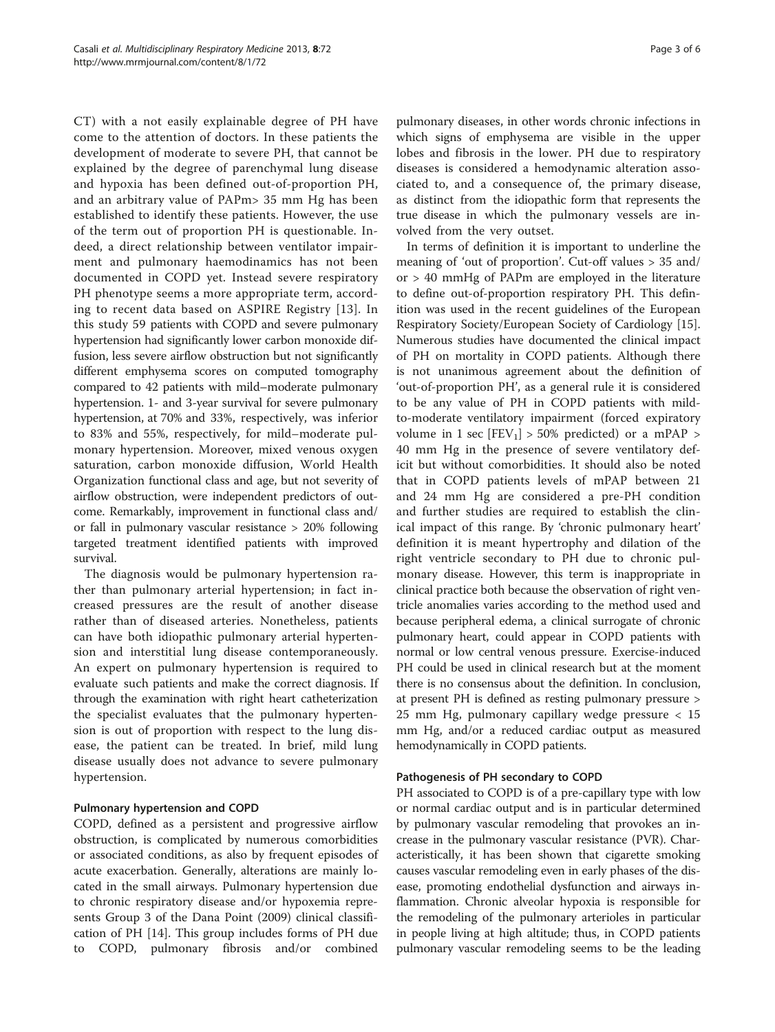CT) with a not easily explainable degree of PH have come to the attention of doctors. In these patients the development of moderate to severe PH, that cannot be explained by the degree of parenchymal lung disease and hypoxia has been defined out-of-proportion PH, and an arbitrary value of PAPm> 35 mm Hg has been established to identify these patients. However, the use of the term out of proportion PH is questionable. Indeed, a direct relationship between ventilator impairment and pulmonary haemodinamics has not been documented in COPD yet. Instead severe respiratory PH phenotype seems a more appropriate term, according to recent data based on ASPIRE Registry [[13\]](#page-5-0). In this study 59 patients with COPD and severe pulmonary hypertension had significantly lower carbon monoxide diffusion, less severe airflow obstruction but not significantly different emphysema scores on computed tomography compared to 42 patients with mild–moderate pulmonary hypertension. 1- and 3-year survival for severe pulmonary hypertension, at 70% and 33%, respectively, was inferior to 83% and 55%, respectively, for mild–moderate pulmonary hypertension. Moreover, mixed venous oxygen saturation, carbon monoxide diffusion, World Health Organization functional class and age, but not severity of airflow obstruction, were independent predictors of outcome. Remarkably, improvement in functional class and/ or fall in pulmonary vascular resistance > 20% following targeted treatment identified patients with improved survival.

The diagnosis would be pulmonary hypertension rather than pulmonary arterial hypertension; in fact increased pressures are the result of another disease rather than of diseased arteries. Nonetheless, patients can have both idiopathic pulmonary arterial hypertension and interstitial lung disease contemporaneously. An expert on pulmonary hypertension is required to evaluate such patients and make the correct diagnosis. If through the examination with right heart catheterization the specialist evaluates that the pulmonary hypertension is out of proportion with respect to the lung disease, the patient can be treated. In brief, mild lung disease usually does not advance to severe pulmonary hypertension.

# Pulmonary hypertension and COPD

COPD, defined as a persistent and progressive airflow obstruction, is complicated by numerous comorbidities or associated conditions, as also by frequent episodes of acute exacerbation. Generally, alterations are mainly located in the small airways. Pulmonary hypertension due to chronic respiratory disease and/or hypoxemia represents Group 3 of the Dana Point (2009) clinical classification of PH [\[14](#page-5-0)]. This group includes forms of PH due to COPD, pulmonary fibrosis and/or combined

pulmonary diseases, in other words chronic infections in which signs of emphysema are visible in the upper lobes and fibrosis in the lower. PH due to respiratory diseases is considered a hemodynamic alteration associated to, and a consequence of, the primary disease, as distinct from the idiopathic form that represents the true disease in which the pulmonary vessels are involved from the very outset.

In terms of definition it is important to underline the meaning of 'out of proportion'. Cut-off values > 35 and/ or > 40 mmHg of PAPm are employed in the literature to define out-of-proportion respiratory PH. This definition was used in the recent guidelines of the European Respiratory Society/European Society of Cardiology [\[15](#page-5-0)]. Numerous studies have documented the clinical impact of PH on mortality in COPD patients. Although there is not unanimous agreement about the definition of 'out-of-proportion PH', as a general rule it is considered to be any value of PH in COPD patients with mildto-moderate ventilatory impairment (forced expiratory volume in 1 sec  $[FEV<sub>1</sub>] > 50%$  predicted) or a mPAP > 40 mm Hg in the presence of severe ventilatory deficit but without comorbidities. It should also be noted that in COPD patients levels of mPAP between 21 and 24 mm Hg are considered a pre-PH condition and further studies are required to establish the clinical impact of this range. By 'chronic pulmonary heart' definition it is meant hypertrophy and dilation of the right ventricle secondary to PH due to chronic pulmonary disease. However, this term is inappropriate in clinical practice both because the observation of right ventricle anomalies varies according to the method used and because peripheral edema, a clinical surrogate of chronic pulmonary heart, could appear in COPD patients with normal or low central venous pressure. Exercise-induced PH could be used in clinical research but at the moment there is no consensus about the definition. In conclusion, at present PH is defined as resting pulmonary pressure > 25 mm Hg, pulmonary capillary wedge pressure < 15 mm Hg, and/or a reduced cardiac output as measured hemodynamically in COPD patients.

# Pathogenesis of PH secondary to COPD

PH associated to COPD is of a pre-capillary type with low or normal cardiac output and is in particular determined by pulmonary vascular remodeling that provokes an increase in the pulmonary vascular resistance (PVR). Characteristically, it has been shown that cigarette smoking causes vascular remodeling even in early phases of the disease, promoting endothelial dysfunction and airways inflammation. Chronic alveolar hypoxia is responsible for the remodeling of the pulmonary arterioles in particular in people living at high altitude; thus, in COPD patients pulmonary vascular remodeling seems to be the leading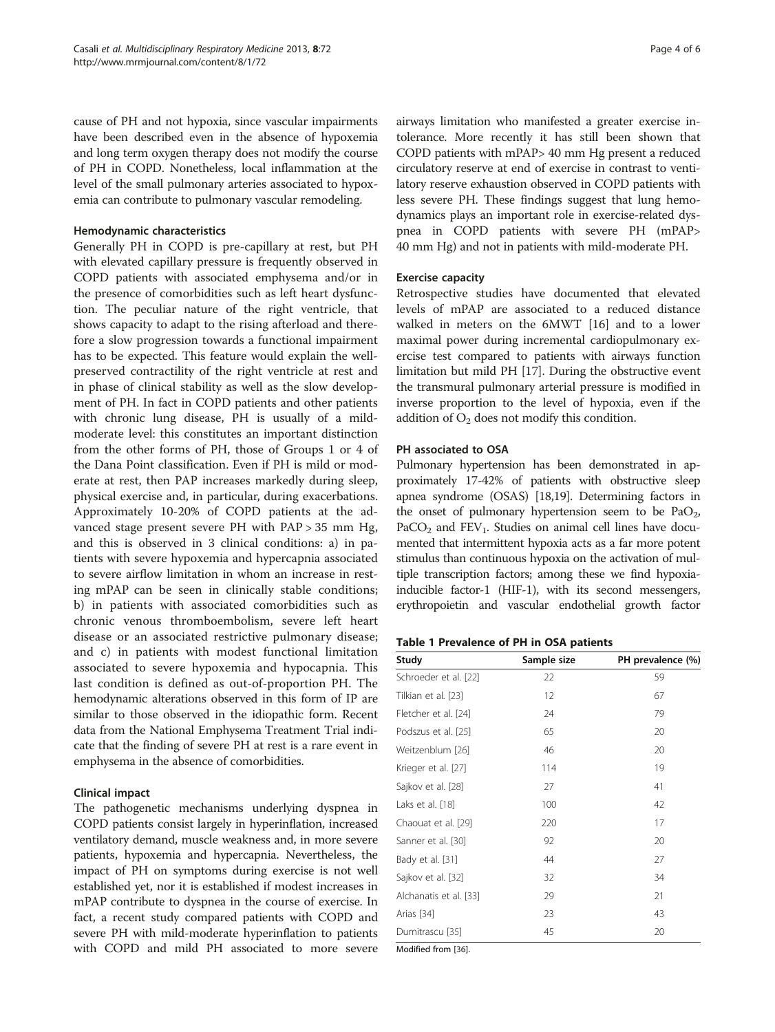<span id="page-3-0"></span>cause of PH and not hypoxia, since vascular impairments have been described even in the absence of hypoxemia and long term oxygen therapy does not modify the course of PH in COPD. Nonetheless, local inflammation at the level of the small pulmonary arteries associated to hypoxemia can contribute to pulmonary vascular remodeling.

#### Hemodynamic characteristics

Generally PH in COPD is pre-capillary at rest, but PH with elevated capillary pressure is frequently observed in COPD patients with associated emphysema and/or in the presence of comorbidities such as left heart dysfunction. The peculiar nature of the right ventricle, that shows capacity to adapt to the rising afterload and therefore a slow progression towards a functional impairment has to be expected. This feature would explain the wellpreserved contractility of the right ventricle at rest and in phase of clinical stability as well as the slow development of PH. In fact in COPD patients and other patients with chronic lung disease, PH is usually of a mildmoderate level: this constitutes an important distinction from the other forms of PH, those of Groups 1 or 4 of the Dana Point classification. Even if PH is mild or moderate at rest, then PAP increases markedly during sleep, physical exercise and, in particular, during exacerbations. Approximately 10-20% of COPD patients at the advanced stage present severe PH with PAP > 35 mm Hg, and this is observed in 3 clinical conditions: a) in patients with severe hypoxemia and hypercapnia associated to severe airflow limitation in whom an increase in resting mPAP can be seen in clinically stable conditions; b) in patients with associated comorbidities such as chronic venous thromboembolism, severe left heart disease or an associated restrictive pulmonary disease; and c) in patients with modest functional limitation associated to severe hypoxemia and hypocapnia. This last condition is defined as out-of-proportion PH. The hemodynamic alterations observed in this form of IP are similar to those observed in the idiopathic form. Recent data from the National Emphysema Treatment Trial indicate that the finding of severe PH at rest is a rare event in emphysema in the absence of comorbidities.

#### Clinical impact

The pathogenetic mechanisms underlying dyspnea in COPD patients consist largely in hyperinflation, increased ventilatory demand, muscle weakness and, in more severe patients, hypoxemia and hypercapnia. Nevertheless, the impact of PH on symptoms during exercise is not well established yet, nor it is established if modest increases in mPAP contribute to dyspnea in the course of exercise. In fact, a recent study compared patients with COPD and severe PH with mild-moderate hyperinflation to patients with COPD and mild PH associated to more severe airways limitation who manifested a greater exercise intolerance. More recently it has still been shown that COPD patients with mPAP> 40 mm Hg present a reduced circulatory reserve at end of exercise in contrast to ventilatory reserve exhaustion observed in COPD patients with less severe PH. These findings suggest that lung hemodynamics plays an important role in exercise-related dyspnea in COPD patients with severe PH (mPAP> 40 mm Hg) and not in patients with mild-moderate PH.

## Exercise capacity

Retrospective studies have documented that elevated levels of mPAP are associated to a reduced distance walked in meters on the 6MWT [\[16](#page-5-0)] and to a lower maximal power during incremental cardiopulmonary exercise test compared to patients with airways function limitation but mild PH [\[17\]](#page-5-0). During the obstructive event the transmural pulmonary arterial pressure is modified in inverse proportion to the level of hypoxia, even if the addition of  $O_2$  does not modify this condition.

## PH associated to OSA

Pulmonary hypertension has been demonstrated in approximately 17-42% of patients with obstructive sleep apnea syndrome (OSAS) [\[18,19](#page-5-0)]. Determining factors in the onset of pulmonary hypertension seem to be  $PaO<sub>2</sub>$ ,  $PaCO<sub>2</sub>$  and  $FEV<sub>1</sub>$ . Studies on animal cell lines have documented that intermittent hypoxia acts as a far more potent stimulus than continuous hypoxia on the activation of multiple transcription factors; among these we find hypoxiainducible factor-1 (HIF-1), with its second messengers, erythropoietin and vascular endothelial growth factor

## Table 1 Prevalence of PH in OSA patients

| Study                  | Sample size | PH prevalence (%) |
|------------------------|-------------|-------------------|
| Schroeder et al. [22]  | 22          | 59                |
| Tilkian et al. [23]    | 12          | 67                |
| Fletcher et al. [24]   | 24          | 79                |
| Podszus et al. [25]    | 65          | 20                |
| Weitzenblum [26]       | 46          | 20                |
| Krieger et al. [27]    | 114         | 19                |
| Sajkov et al. [28]     | 27          | 41                |
| Laks et al. [18]       | 100         | 42                |
| Chaouat et al. [29]    | 220         | 17                |
| Sanner et al. [30]     | 92          | 20                |
| Bady et al. [31]       | 44          | 27                |
| Sajkov et al. [32]     | 32          | 34                |
| Alchanatis et al. [33] | 29          | 21                |
| Arias [34]             | 23          | 43                |
| Dumitrascu [35]        | 45          | 20                |
| Modified from [26]     |             |                   |

Modified from [[36](#page-5-0)].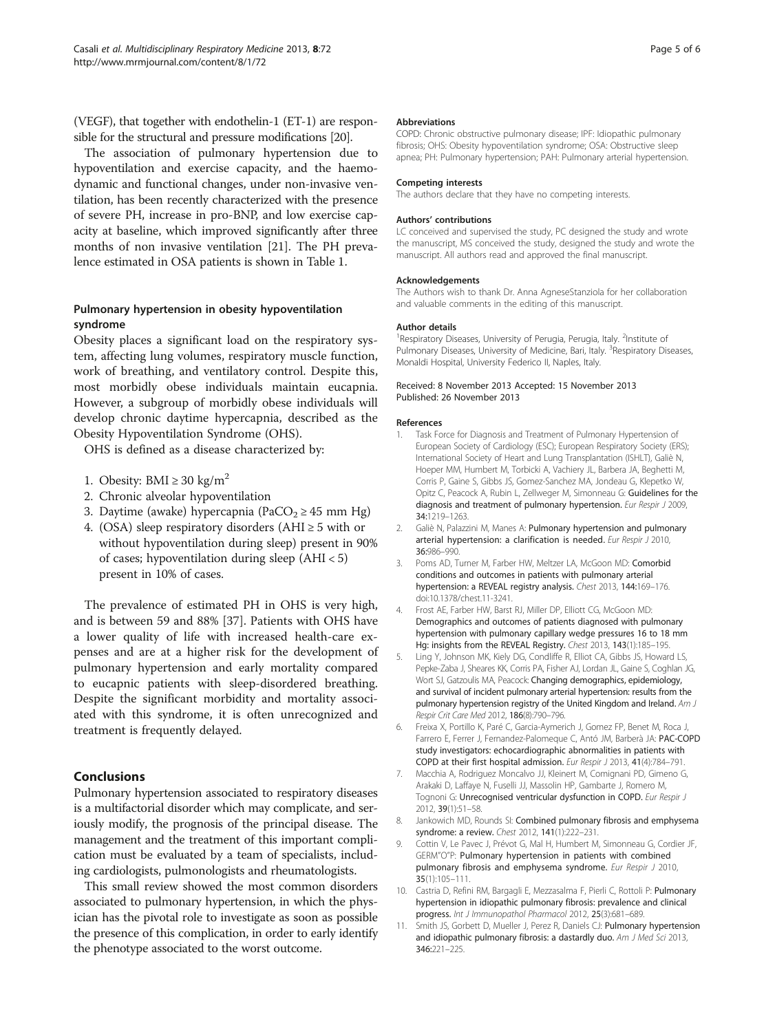<span id="page-4-0"></span>(VEGF), that together with endothelin-1 (ET-1) are responsible for the structural and pressure modifications [[20](#page-5-0)].

The association of pulmonary hypertension due to hypoventilation and exercise capacity, and the haemodynamic and functional changes, under non-invasive ventilation, has been recently characterized with the presence of severe PH, increase in pro-BNP, and low exercise capacity at baseline, which improved significantly after three months of non invasive ventilation [[21](#page-5-0)]. The PH prevalence estimated in OSA patients is shown in Table [1.](#page-3-0)

# Pulmonary hypertension in obesity hypoventilation syndrome

Obesity places a significant load on the respiratory system, affecting lung volumes, respiratory muscle function, work of breathing, and ventilatory control. Despite this, most morbidly obese individuals maintain eucapnia. However, a subgroup of morbidly obese individuals will develop chronic daytime hypercapnia, described as the Obesity Hypoventilation Syndrome (OHS).

OHS is defined as a disease characterized by:

- 1. Obesity: BMI  $\geq$  30 kg/m<sup>2</sup>
- 2. Chronic alveolar hypoventilation
- 3. Daytime (awake) hypercapnia (PaCO<sub>2</sub>  $\geq$  45 mm Hg)
- 4. (OSA) sleep respiratory disorders (AHI  $\geq$  5 with or without hypoventilation during sleep) present in 90% of cases; hypoventilation during sleep (AHI < 5) present in 10% of cases.

The prevalence of estimated PH in OHS is very high, and is between 59 and 88% [\[37](#page-5-0)]. Patients with OHS have a lower quality of life with increased health-care expenses and are at a higher risk for the development of pulmonary hypertension and early mortality compared to eucapnic patients with sleep-disordered breathing. Despite the significant morbidity and mortality associated with this syndrome, it is often unrecognized and treatment is frequently delayed.

# **Conclusions**

Pulmonary hypertension associated to respiratory diseases is a multifactorial disorder which may complicate, and seriously modify, the prognosis of the principal disease. The management and the treatment of this important complication must be evaluated by a team of specialists, including cardiologists, pulmonologists and rheumatologists.

This small review showed the most common disorders associated to pulmonary hypertension, in which the physician has the pivotal role to investigate as soon as possible the presence of this complication, in order to early identify the phenotype associated to the worst outcome.

#### Abbreviations

COPD: Chronic obstructive pulmonary disease; IPF: Idiopathic pulmonary fibrosis; OHS: Obesity hypoventilation syndrome; OSA: Obstructive sleep apnea; PH: Pulmonary hypertension; PAH: Pulmonary arterial hypertension.

#### Competing interests

The authors declare that they have no competing interests.

#### Authors' contributions

LC conceived and supervised the study, PC designed the study and wrote the manuscript, MS conceived the study, designed the study and wrote the manuscript. All authors read and approved the final manuscript.

#### Acknowledgements

The Authors wish to thank Dr. Anna AgneseStanziola for her collaboration and valuable comments in the editing of this manuscript.

#### Author details

<sup>1</sup> Respiratory Diseases, University of Perugia, Perugia, Italy. <sup>2</sup>Institute of Pulmonary Diseases, University of Medicine, Bari, Italy. <sup>3</sup>Respiratory Diseases, Monaldi Hospital, University Federico II, Naples, Italy.

#### Received: 8 November 2013 Accepted: 15 November 2013 Published: 26 November 2013

#### References

- 1. Task Force for Diagnosis and Treatment of Pulmonary Hypertension of European Society of Cardiology (ESC); European Respiratory Society (ERS); International Society of Heart and Lung Transplantation (ISHLT), Galiè N, Hoeper MM, Humbert M, Torbicki A, Vachiery JL, Barbera JA, Beghetti M, Corris P, Gaine S, Gibbs JS, Gomez-Sanchez MA, Jondeau G, Klepetko W, Opitz C, Peacock A, Rubin L, Zellweger M, Simonneau G: Guidelines for the diagnosis and treatment of pulmonary hypertension. Eur Respir J 2009, 34:1219–1263.
- 2. Galiè N, Palazzini M, Manes A: Pulmonary hypertension and pulmonary arterial hypertension: a clarification is needed. Eur Respir J 2010, 36:986–990.
- 3. Poms AD, Turner M, Farber HW, Meltzer LA, McGoon MD: Comorbid conditions and outcomes in patients with pulmonary arterial hypertension: a REVEAL registry analysis. Chest 2013, 144:169-176. doi:10.1378/chest.11-3241.
- 4. Frost AE, Farber HW, Barst RJ, Miller DP, Elliott CG, McGoon MD: Demographics and outcomes of patients diagnosed with pulmonary hypertension with pulmonary capillary wedge pressures 16 to 18 mm Hg: insights from the REVEAL Registry. Chest 2013, 143(1):185-195.
- 5. Ling Y, Johnson MK, Kiely DG, Condliffe R, Elliot CA, Gibbs JS, Howard LS, Pepke-Zaba J, Sheares KK, Corris PA, Fisher AJ, Lordan JL, Gaine S, Coghlan JG, Wort SJ, Gatzoulis MA, Peacock: Changing demographics, epidemiology, and survival of incident pulmonary arterial hypertension: results from the pulmonary hypertension registry of the United Kingdom and Ireland. Am J Respir Crit Care Med 2012, 186(8):790–796.
- 6. Freixa X, Portillo K, Paré C, Garcia-Aymerich J, Gomez FP, Benet M, Roca J, Farrero E, Ferrer J, Fernandez-Palomeque C, Antó JM, Barberà JA: PAC-COPD study investigators: echocardiographic abnormalities in patients with COPD at their first hospital admission. Eur Respir J 2013, 41(4):784–791.
- 7. Macchia A, Rodriguez Moncalvo JJ, Kleinert M, Comignani PD, Gimeno G, Arakaki D, Laffaye N, Fuselli JJ, Massolin HP, Gambarte J, Romero M, Tognoni G: Unrecognised ventricular dysfunction in COPD. Eur Respir J 2012, 39(1):51–58.
- 8. Jankowich MD, Rounds SI: Combined pulmonary fibrosis and emphysema syndrome: a review. Chest 2012, 141(1):222–231.
- 9. Cottin V, Le Pavec J, Prévot G, Mal H, Humbert M, Simonneau G, Cordier JF, GERM"O"P: Pulmonary hypertension in patients with combined pulmonary fibrosis and emphysema syndrome. Eur Respir J 2010, 35(1):105–111.
- 10. Castria D, Refini RM, Bargagli E, Mezzasalma F, Pierli C, Rottoli P: Pulmonary hypertension in idiopathic pulmonary fibrosis: prevalence and clinical progress. Int J Immunopathol Pharmacol 2012, 25(3):681-689
- 11. Smith JS, Gorbett D, Mueller J, Perez R, Daniels CJ: Pulmonary hypertension and idiopathic pulmonary fibrosis: a dastardly duo. Am J Med Sci 2013, 346:221–225.